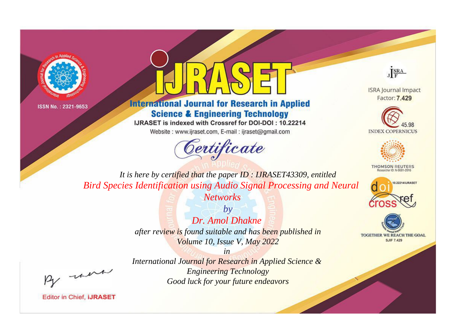



**International Journal for Research in Applied Science & Engineering Technology** 

IJRASET is indexed with Crossref for DOI-DOI: 10.22214

Website: www.ijraset.com, E-mail: ijraset@gmail.com



JERA

**ISRA Journal Impact** Factor: 7.429





**THOMSON REUTERS** 



TOGETHER WE REACH THE GOAL **SJIF 7.429** 

*It is here by certified that the paper ID : IJRASET43309, entitled Bird Species Identification using Audio Signal Processing and Neural* 

*Networks*

*by Dr. Amol Dhakne after review is found suitable and has been published in Volume 10, Issue V, May 2022*

*in* 

*International Journal for Research in Applied Science & Engineering Technology Good luck for your future endeavors*

, were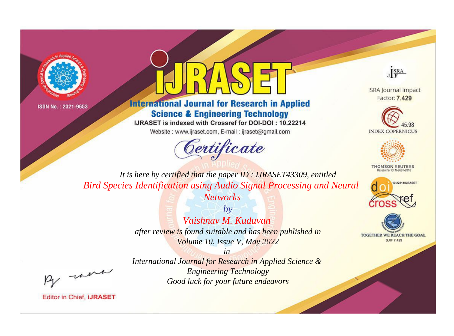



**International Journal for Research in Applied Science & Engineering Technology** 

IJRASET is indexed with Crossref for DOI-DOI: 10.22214

Website: www.ijraset.com, E-mail: ijraset@gmail.com





**ISRA Journal Impact** Factor: 7.429





**THOMSON REUTERS** 



TOGETHER WE REACH THE GOAL **SJIF 7.429** 

*It is here by certified that the paper ID : IJRASET43309, entitled Bird Species Identification using Audio Signal Processing and Neural* 

*Networks*

*by Vaishnav M. Kuduvan after review is found suitable and has been published in Volume 10, Issue V, May 2022*

, were

*International Journal for Research in Applied Science & Engineering Technology Good luck for your future endeavors*

*in*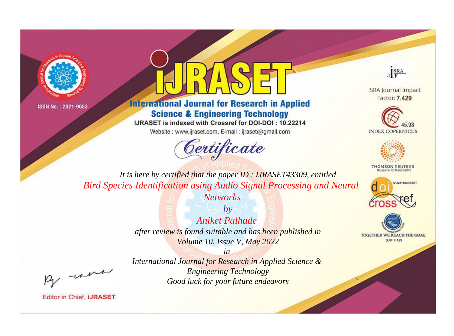



**International Journal for Research in Applied Science & Engineering Technology** 

IJRASET is indexed with Crossref for DOI-DOI: 10.22214

Website: www.ijraset.com, E-mail: ijraset@gmail.com





**ISRA Journal Impact** Factor: 7.429





**THOMSON REUTERS** 



TOGETHER WE REACH THE GOAL **SJIF 7.429** 

It is here by certified that the paper ID: IJRASET43309, entitled **Bird Species Identification using Audio Signal Processing and Neural** 

**Networks** 

 $b\nu$ Aniket Palhade after review is found suitable and has been published in Volume 10, Issue V, May 2022

were

International Journal for Research in Applied Science & **Engineering Technology** Good luck for your future endeavors

 $in$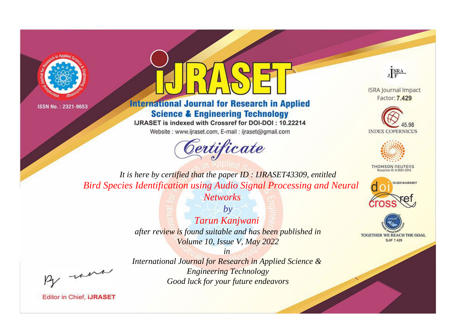



**International Journal for Research in Applied Science & Engineering Technology** 

IJRASET is indexed with Crossref for DOI-DOI: 10.22214

Website: www.ijraset.com, E-mail: ijraset@gmail.com





**ISRA Journal Impact** Factor: 7.429





**THOMSON REUTERS** 



TOGETHER WE REACH THE GOAL **SJIF 7.429** 

*It is here by certified that the paper ID : IJRASET43309, entitled Bird Species Identification using Audio Signal Processing and Neural* 

*Networks*

*by Tarun Kanjwani after review is found suitable and has been published in Volume 10, Issue V, May 2022*

, were

*International Journal for Research in Applied Science & Engineering Technology Good luck for your future endeavors*

*in*